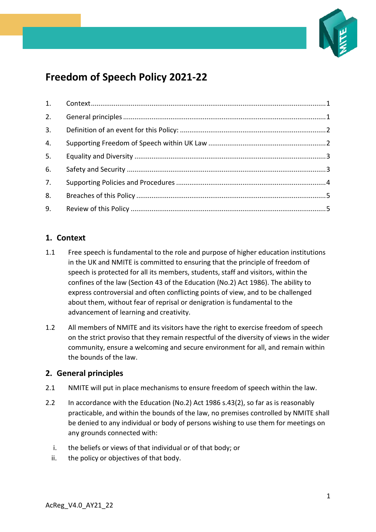

# **Freedom of Speech Policy 2021-22**

| 3. |  |
|----|--|
| 4. |  |
| 5. |  |
| 6. |  |
| 7. |  |
| 8. |  |
| 9. |  |

## <span id="page-0-0"></span>**1. Context**

- 1.1 Free speech is fundamental to the role and purpose of higher education institutions in the UK and NMITE is committed to ensuring that the principle of freedom of speech is protected for all its members, students, staff and visitors, within the confines of the law (Section 43 of the Education (No.2) Act 1986). The ability to express controversial and often conflicting points of view, and to be challenged about them, without fear of reprisal or denigration is fundamental to the advancement of learning and creativity.
- 1.2 All members of NMITE and its visitors have the right to exercise freedom of speech on the strict proviso that they remain respectful of the diversity of views in the wider community, ensure a welcoming and secure environment for all, and remain within the bounds of the law.

## <span id="page-0-1"></span>**2. General principles**

- 2.1 NMITE will put in place mechanisms to ensure freedom of speech within the law.
- 2.2 In accordance with the Education (No.2) Act 1986 s.43(2), so far as is reasonably practicable, and within the bounds of the law, no premises controlled by NMITE shall be denied to any individual or body of persons wishing to use them for meetings on any grounds connected with:
	- i. the beliefs or views of that individual or of that body; or
	- ii. the policy or objectives of that body.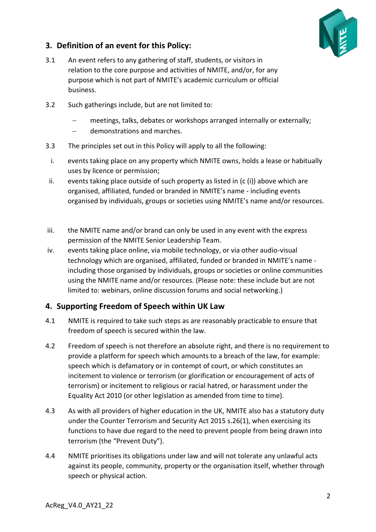

## <span id="page-1-0"></span>**3. Definition of an event for this Policy:**

- 3.1 An event refers to any gathering of staff, students, or visitors in relation to the core purpose and activities of NMITE, and/or, for any purpose which is not part of NMITE's academic curriculum or official business.
- 3.2 Such gatherings include, but are not limited to:
	- meetings, talks, debates or workshops arranged internally or externally;
	- − demonstrations and marches.
- 3.3 The principles set out in this Policy will apply to all the following:
- i. events taking place on any property which NMITE owns, holds a lease or habitually uses by licence or permission;
- ii. events taking place outside of such property as listed in  $(c(i))$  above which are organised, affiliated, funded or branded in NMITE's name - including events organised by individuals, groups or societies using NMITE's name and/or resources.
- iii. the NMITE name and/or brand can only be used in any event with the express permission of the NMITE Senior Leadership Team.
- iv. events taking place online, via mobile technology, or via other audio-visual technology which are organised, affiliated, funded or branded in NMITE's name including those organised by individuals, groups or societies or online communities using the NMITE name and/or resources. (Please note: these include but are not limited to: webinars, online discussion forums and social networking.)

## <span id="page-1-1"></span>**4. Supporting Freedom of Speech within UK Law**

- 4.1 NMITE is required to take such steps as are reasonably practicable to ensure that freedom of speech is secured within the law.
- 4.2 Freedom of speech is not therefore an absolute right, and there is no requirement to provide a platform for speech which amounts to a breach of the law, for example: speech which is defamatory or in contempt of court, or which constitutes an incitement to violence or terrorism (or glorification or encouragement of acts of terrorism) or incitement to religious or racial hatred, or harassment under the Equality Act 2010 (or other legislation as amended from time to time).
- 4.3 As with all providers of higher education in the UK, NMITE also has a statutory duty under the Counter Terrorism and Security Act 2015 s.26(1), when exercising its functions to have due regard to the need to prevent people from being drawn into terrorism (the "Prevent Duty").
- 4.4 NMITE prioritises its obligations under law and will not tolerate any unlawful acts against its people, community, property or the organisation itself, whether through speech or physical action.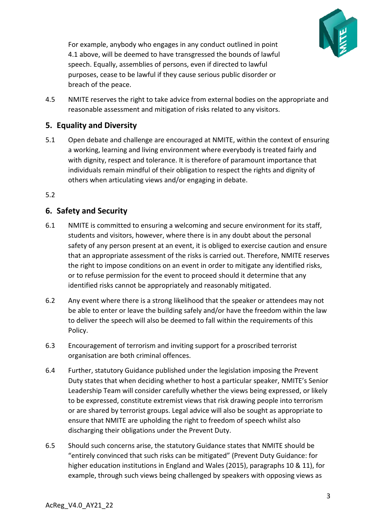

For example, anybody who engages in any conduct outlined in point 4.1 above, will be deemed to have transgressed the bounds of lawful speech. Equally, assemblies of persons, even if directed to lawful purposes, cease to be lawful if they cause serious public disorder or breach of the peace.

4.5 NMITE reserves the right to take advice from external bodies on the appropriate and reasonable assessment and mitigation of risks related to any visitors.

# <span id="page-2-0"></span>**5. Equality and Diversity**

5.1 Open debate and challenge are encouraged at NMITE, within the context of ensuring a working, learning and living environment where everybody is treated fairly and with dignity, respect and tolerance. It is therefore of paramount importance that individuals remain mindful of their obligation to respect the rights and dignity of others when articulating views and/or engaging in debate.

#### 5.2

## <span id="page-2-1"></span>**6. Safety and Security**

- 6.1 NMITE is committed to ensuring a welcoming and secure environment for its staff, students and visitors, however, where there is in any doubt about the personal safety of any person present at an event, it is obliged to exercise caution and ensure that an appropriate assessment of the risks is carried out. Therefore, NMITE reserves the right to impose conditions on an event in order to mitigate any identified risks, or to refuse permission for the event to proceed should it determine that any identified risks cannot be appropriately and reasonably mitigated.
- 6.2 Any event where there is a strong likelihood that the speaker or attendees may not be able to enter or leave the building safely and/or have the freedom within the law to deliver the speech will also be deemed to fall within the requirements of this Policy.
- 6.3 Encouragement of terrorism and inviting support for a proscribed terrorist organisation are both criminal offences.
- 6.4 Further, statutory Guidance published under the legislation imposing the Prevent Duty states that when deciding whether to host a particular speaker, NMITE's Senior Leadership Team will consider carefully whether the views being expressed, or likely to be expressed, constitute extremist views that risk drawing people into terrorism or are shared by terrorist groups. Legal advice will also be sought as appropriate to ensure that NMITE are upholding the right to freedom of speech whilst also discharging their obligations under the Prevent Duty.
- 6.5 Should such concerns arise, the statutory Guidance states that NMITE should be "entirely convinced that such risks can be mitigated" (Prevent Duty Guidance: for higher education institutions in England and Wales (2015), paragraphs 10 & 11), for example, through such views being challenged by speakers with opposing views as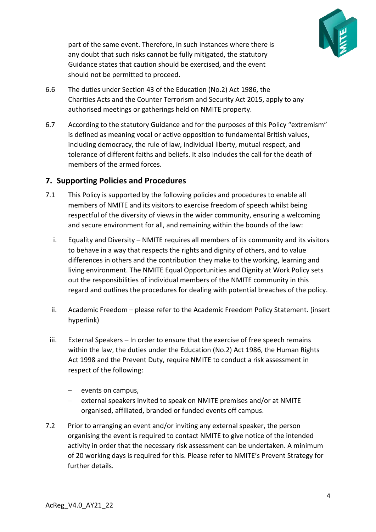

part of the same event. Therefore, in such instances where there is any doubt that such risks cannot be fully mitigated, the statutory Guidance states that caution should be exercised, and the event should not be permitted to proceed.

- 6.6 The duties under Section 43 of the Education (No.2) Act 1986, the Charities Acts and the Counter Terrorism and Security Act 2015, apply to any authorised meetings or gatherings held on NMITE property.
- 6.7 According to the statutory Guidance and for the purposes of this Policy "extremism" is defined as meaning vocal or active opposition to fundamental British values, including democracy, the rule of law, individual liberty, mutual respect, and tolerance of different faiths and beliefs. It also includes the call for the death of members of the armed forces.

## <span id="page-3-0"></span>**7. Supporting Policies and Procedures**

- 7.1 This Policy is supported by the following policies and procedures to enable all members of NMITE and its visitors to exercise freedom of speech whilst being respectful of the diversity of views in the wider community, ensuring a welcoming and secure environment for all, and remaining within the bounds of the law:
	- i. Equality and Diversity NMITE requires all members of its community and its visitors to behave in a way that respects the rights and dignity of others, and to value differences in others and the contribution they make to the working, learning and living environment. The NMITE Equal Opportunities and Dignity at Work Policy sets out the responsibilities of individual members of the NMITE community in this regard and outlines the procedures for dealing with potential breaches of the policy.
	- ii. Academic Freedom please refer to the Academic Freedom Policy Statement. (insert hyperlink)
	- iii. External Speakers In order to ensure that the exercise of free speech remains within the law, the duties under the Education (No.2) Act 1986, the Human Rights Act 1998 and the Prevent Duty, require NMITE to conduct a risk assessment in respect of the following:
		- − events on campus,
		- − external speakers invited to speak on NMITE premises and/or at NMITE organised, affiliated, branded or funded events off campus.
- 7.2 Prior to arranging an event and/or inviting any external speaker, the person organising the event is required to contact NMITE to give notice of the intended activity in order that the necessary risk assessment can be undertaken. A minimum of 20 working days is required for this. Please refer to NMITE's Prevent Strategy for further details.